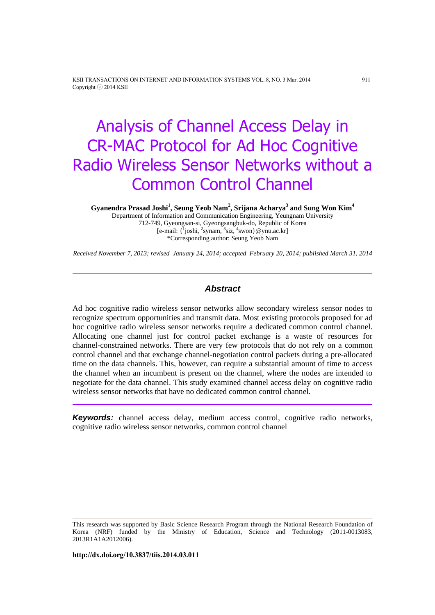KSII TRANSACTIONS ON INTERNET AND INFORMATION SYSTEMS VOL. 8, NO. 3 Mar. 2014 911 Copyright ⓒ 2014 KSII

# Analysis of Channel Access Delay in CR-MAC Protocol for Ad Hoc Cognitive Radio Wireless Sensor Networks without a Common Control Channel

**Gyanendra Prasad Joshi<sup>1</sup> , Seung Yeob Nam<sup>2</sup> , Srijana Acharya<sup>3</sup> and Sung Won Kim<sup>4</sup>**

Department of Information and Communication Engineering, Yeungnam University 712-749, Gyeongsan-si, Gyeongsangbuk-do, Republic of Korea [e-mail:  $\{\frac{1}{2}$ joshi,  $\frac{2}{3}$ synam,  $\frac{3}{3}$ siz,  $\frac{4}{3}$ swon}@ynu.ac.kr] \*Corresponding author: Seung Yeob Nam

*Received November 7, 2013; revised January 24, 2014; accepted February 20, 2014; published March 31, 2014*

## *Abstract*

Ad hoc cognitive radio wireless sensor networks allow secondary wireless sensor nodes to recognize spectrum opportunities and transmit data. Most existing protocols proposed for ad hoc cognitive radio wireless sensor networks require a dedicated common control channel. Allocating one channel just for control packet exchange is a waste of resources for channel-constrained networks. There are very few protocols that do not rely on a common control channel and that exchange channel-negotiation control packets during a pre-allocated time on the data channels. This, however, can require a substantial amount of time to access the channel when an incumbent is present on the channel, where the nodes are intended to negotiate for the data channel. This study examined channel access delay on cognitive radio wireless sensor networks that have no dedicated common control channel.

*Keywords:* channel access delay, medium access control, cognitive radio networks, cognitive radio wireless sensor networks, common control channel

This research was supported by Basic Science Research Program through the National Research Foundation of Korea (NRF) funded by the Ministry of Education, Science and Technology (2011-0013083, 2013R1A1A2012006).

**http://dx.doi.org/10.3837/tiis.2014.03.011**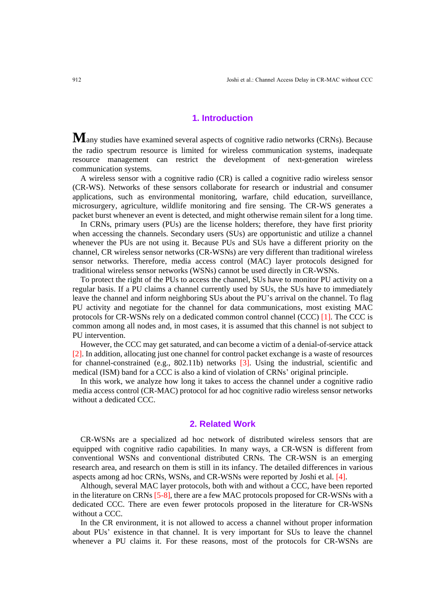## **1. Introduction**

**M**any studies have examined several aspects of cognitive radio networks (CRNs). Because the radio spectrum resource is limited for wireless communication systems, inadequate resource management can restrict the development of next-generation wireless communication systems.

A wireless sensor with a cognitive radio (CR) is called a cognitive radio wireless sensor (CR-WS). Networks of these sensors collaborate for research or industrial and consumer applications, such as environmental monitoring, warfare, child education, surveillance, microsurgery, agriculture, wildlife monitoring and fire sensing. The CR-WS generates a packet burst whenever an event is detected, and might otherwise remain silent for a long time.

In CRNs, primary users (PUs) are the license holders; therefore, they have first priority when accessing the channels. Secondary users (SUs) are opportunistic and utilize a channel whenever the PUs are not using it. Because PUs and SUs have a different priority on the channel, CR wireless sensor networks (CR-WSNs) are very different than traditional wireless sensor networks. Therefore, media access control (MAC) layer protocols designed for traditional wireless sensor networks (WSNs) cannot be used directly in CR-WSNs.

To protect the right of the PUs to access the channel, SUs have to monitor PU activity on a regular basis. If a PU claims a channel currently used by SUs, the SUs have to immediately leave the channel and inform neighboring SUs about the PU's arrival on the channel. To flag PU activity and negotiate for the channel for data communications, most existing MAC protocols for CR-WSNs rely on a dedicated common control channel (CCC) [1]. The CCC is common among all nodes and, in most cases, it is assumed that this channel is not subject to PU intervention.

However, the CCC may get saturated, and can become a victim of a denial-of-service attack [2]. In addition, allocating just one channel for control packet exchange is a waste of resources for channel-constrained (e.g., 802.11b) networks [3]. Using the industrial, scientific and medical (ISM) band for a CCC is also a kind of violation of CRNs' original principle.

In this work, we analyze how long it takes to access the channel under a cognitive radio media access control (CR-MAC) protocol for ad hoc cognitive radio wireless sensor networks without a dedicated CCC.

#### **2. Related Work**

CR-WSNs are a specialized ad hoc network of distributed wireless sensors that are equipped with cognitive radio capabilities. In many ways, a CR-WSN is different from conventional WSNs and conventional distributed CRNs. The CR-WSN is an emerging research area, and research on them is still in its infancy. The detailed differences in various aspects among ad hoc CRNs, WSNs, and CR-WSNs were reported by Joshi et al. [4].

Although, several MAC layer protocols, both with and without a CCC, have been reported in the literature on CRNs [5-8], there are a few MAC protocols proposed for CR-WSNs with a dedicated CCC. There are even fewer protocols proposed in the literature for CR-WSNs without a CCC.

In the CR environment, it is not allowed to access a channel without proper information about PUs' existence in that channel. It is very important for SUs to leave the channel whenever a PU claims it. For these reasons, most of the protocols for CR-WSNs are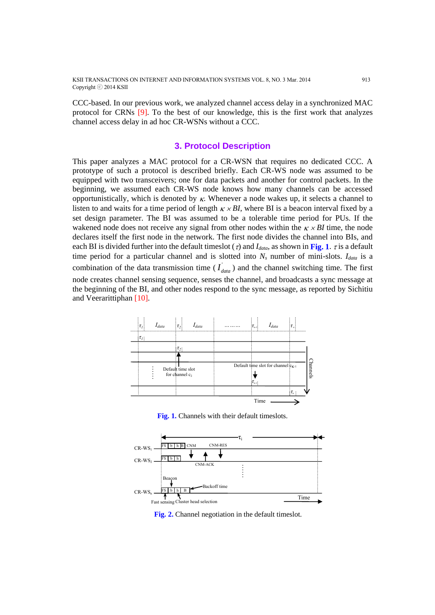KSII TRANSACTIONS ON INTERNET AND INFORMATION SYSTEMS VOL. 8, NO. 3 Mar. 2014 913 Copyright ⓒ 2014 KSII

CCC-based. In our previous work, we analyzed channel access delay in a synchronized MAC protocol for CRNs [9]. To the best of our knowledge, this is the first work that analyzes channel access delay in ad hoc CR-WSNs without a CCC.

## **3. Protocol Description**

This paper analyzes a MAC protocol for a CR-WSN that requires no dedicated CCC. A prototype of such a protocol is described briefly. Each CR-WS node was assumed to be equipped with two transceivers; one for data packets and another for control packets. In the beginning, we assumed each CR-WS node knows how many channels can be accessed opportunistically, which is denoted by  $\kappa$ . Whenever a node wakes up, it selects a channel to listen to and waits for a time period of length  $K \times BI$ , where BI is a beacon interval fixed by a set design parameter. The BI was assumed to be a tolerable time period for PUs. If the wakened node does not receive any signal from other nodes within the  $K \times BI$  time, the node declares itself the first node in the network. The first node divides the channel into BIs, and each BI is divided further into the default timeslot ( $\tau$ ) and *I*<sub>*data*</sub>, as shown in **Fig. 1**.  $\tau$  is a default time period for a particular channel and is slotted into *N<sup>s</sup>* number of mini-slots. *Idata* is a combination of the data transmission time ( $I_{data}$ ) and the channel switching time. The first node creates channel sensing sequence, senses the channel, and broadcasts a sync message at the beginning of the BI, and other nodes respond to the sync message, as reported by Sichitiu and Veerarittiphan [10].



**Fig. 1.** Channels with their default timeslots.



**Fig. 2.** Channel negotiation in the default timeslot.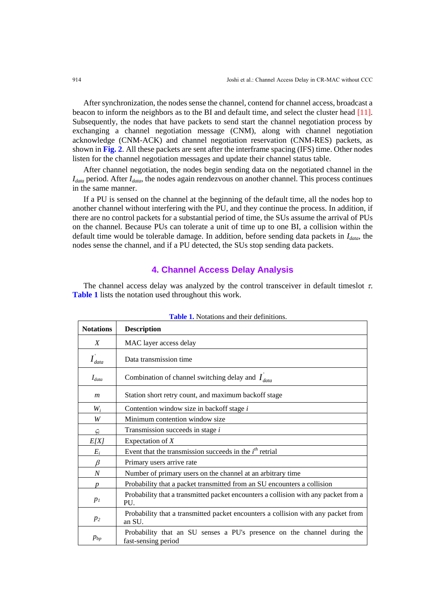After synchronization, the nodes sense the channel, contend for channel access, broadcast a beacon to inform the neighbors as to the BI and default time, and select the cluster head [11]. Subsequently, the nodes that have packets to send start the channel negotiation process by exchanging a channel negotiation message (CNM), along with channel negotiation acknowledge (CNM-ACK) and channel negotiation reservation (CNM-RES) packets, as shown in **Fig. 2**. All these packets are sent after the interframe spacing (IFS) time. Other nodes listen for the channel negotiation messages and update their channel status table.

After channel negotiation, the nodes begin sending data on the negotiated channel in the *Idata* period. After *Idata*, the nodes again rendezvous on another channel. This process continues in the same manner.

If a PU is sensed on the channel at the beginning of the default time, all the nodes hop to another channel without interfering with the PU, and they continue the process. In addition, if there are no control packets for a substantial period of time, the SUs assume the arrival of PUs on the channel. Because PUs can tolerate a unit of time up to one BI, a collision within the default time would be tolerable damage. In addition, before sending data packets in *Idata*, the nodes sense the channel, and if a PU detected, the SUs stop sending data packets.

# **4. Channel Access Delay Analysis**

The channel access delay was analyzed by the control transceiver in default timeslot  $\tau$ . **Table 1** lists the notation used throughout this work.

| <b>Notations</b> | <b>Description</b>                                                                             |
|------------------|------------------------------------------------------------------------------------------------|
| $\boldsymbol{X}$ | MAC layer access delay                                                                         |
| $I_{data}$       | Data transmission time                                                                         |
| $I_{data}$       | Combination of channel switching delay and $I_{data}$                                          |
| $\boldsymbol{m}$ | Station short retry count, and maximum backoff stage                                           |
| $W_i$            | Contention window size in backoff stage i                                                      |
| W                | Minimum contention window size                                                                 |
| $\varsigma_i$    | Transmission succeeds in stage <i>i</i>                                                        |
| E[X]             | Expectation of $X$                                                                             |
| $E_i$            | Event that the transmission succeeds in the $ith$ retrial                                      |
| ß                | Primary users arrive rate                                                                      |
| $\boldsymbol{N}$ | Number of primary users on the channel at an arbitrary time                                    |
| $\boldsymbol{p}$ | Probability that a packet transmitted from an SU encounters a collision                        |
| p <sub>I</sub>   | Probability that a transmitted packet encounters a collision with any packet from a<br>PU.     |
| $p_2$            | Probability that a transmitted packet encounters a collision with any packet from<br>an SU.    |
| $p_{bp}$         | Probability that an SU senses a PU's presence on the channel during the<br>fast-sensing period |

**Table 1.** Notations and their definitions.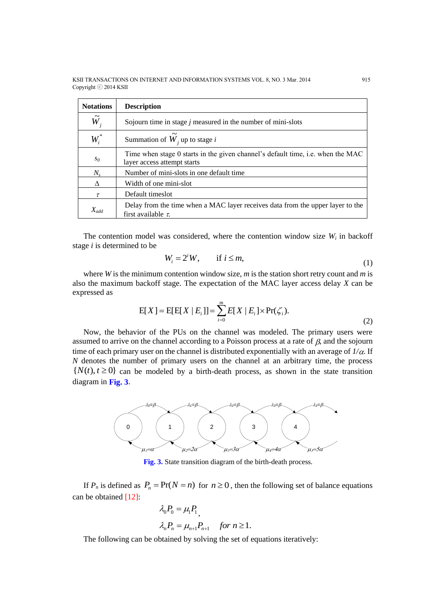| <b>Notations</b> | <b>Description</b>                                                                                             |
|------------------|----------------------------------------------------------------------------------------------------------------|
| $\tilde{W}_i$    | Sojourn time in stage $j$ measured in the number of mini-slots                                                 |
| $W_i^*$          | Summation of $W_i$ up to stage i                                                                               |
| $S_{\theta}$     | Time when stage 0 starts in the given channel's default time, i.e. when the MAC<br>layer access attempt starts |
| $N_{s}$          | Number of mini-slots in one default time                                                                       |
| Δ                | Width of one mini-slot                                                                                         |
| $\tau$           | Default times ot                                                                                               |
| $X_{add}$        | Delay from the time when a MAC layer receives data from the upper layer to the<br>first available $\tau$ .     |

The contention model was considered, where the contention window size  $W_i$  in backoff stage *i* is determined to be

$$
W_i = 2^i W, \qquad \text{if } i \leq m,
$$
 (1)

where *W* is the minimum contention window size, *m* is the station short retry count and *m* is also the maximum backoff stage. The expectation of the MAC layer access delay *X* can be expressed as

$$
E[X] = E[E[X | E_i]] = \sum_{i=0}^{m} E[X | E_i] \times Pr(\zeta_i).
$$
\n(2)

Now, the behavior of the PUs on the channel was modeled. The primary users were assumed to arrive on the channel according to a Poisson process at a rate of  $\beta$ , and the sojourn time of each primary user on the channel is distributed exponentially with an average of  $1/\alpha$ . If *N* denotes the number of primary users on the channel at an arbitrary time, the process  $\{N(t), t \ge 0\}$  can be modeled by a birth-death process, as shown in the state transition diagram in **Fig. 3**.



**Fig. 3.** State transition diagram of the birth-death process.

If  $P_n$  is defined as  $P_n = Pr(N = n)$  for  $n \ge 0$ , then the following set of balance equations can be obtained [12]:

$$
\lambda_0 P_0 = \mu_1 P_1
$$
  

$$
\lambda_n P_n = \mu_{n+1} P_{n+1} \quad \text{for } n \ge 1.
$$

The following can be obtained by solving the set of equations iteratively: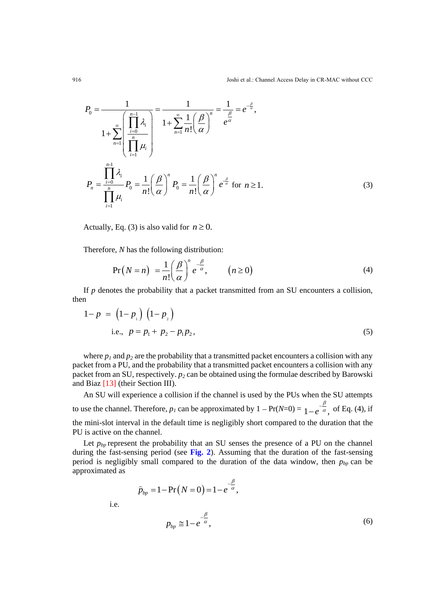$$
P_0 = \frac{1}{1 + \sum_{n=1}^{\infty} \left( \prod_{i=0}^{n-1} \lambda_i \right)} = \frac{1}{1 + \sum_{n=1}^{\infty} \frac{1}{n!} \left( \frac{\beta}{\alpha} \right)^n} = \frac{1}{e^{\alpha}} = e^{-\frac{\beta}{\alpha}},
$$
  

$$
1 + \sum_{n=1}^{\infty} \left( \prod_{i=1}^{n-1} \mu_i \right)^n
$$
  

$$
P_n = \frac{\prod_{i=0}^{n-1} \lambda_i}{\prod_{i=1}^{n} \mu_i} P_0 = \frac{1}{n!} \left( \frac{\beta}{\alpha} \right)^n P_0 = \frac{1}{n!} \left( \frac{\beta}{\alpha} \right)^n e^{-\frac{\beta}{\alpha}} \text{ for } n \ge 1.
$$
 (3)

Actually, Eq. (3) is also valid for  $n \ge 0$ .

Therefore, *N* has the following distribution:  
\n
$$
Pr(N = n) = \frac{1}{n!} \left(\frac{\beta}{\alpha}\right)^n e^{-\frac{\beta}{\alpha}}, \qquad (n \ge 0)
$$
\n(4)

If *p* denotes the probability that a packet transmitted from an SU encounters a collision, then

$$
1 - p = (1 - p_{1}) (1 - p_{2})
$$
  
i.e.,  $p = p_{1} + p_{2} - p_{1}p_{2}$ , (5)

where  $p_1$  and  $p_2$  are the probability that a transmitted packet encounters a collision with any packet from a PU, and the probability that a transmitted packet encounters a collision with any packet from an SU, respectively. *p<sub>2</sub>* can be obtained using the formulae described by Barowski and Biaz [13] (their Section III).

An SU will experience a collision if the channel is used by the PUs when the SU attempts to use the channel. Therefore,  $p_l$  can be approximated by  $1 - Pr(N=0) = 1 - e^{-\frac{t}{\alpha}}$ , β  $-e^{-\frac{P}{\alpha}}$ , of Eq. (4), if the mini-slot interval in the default time is negligibly short compared to the duration that the PU is active on the channel.

Let  $p_{bp}$  represent the probability that an SU senses the presence of a PU on the channel during the fast-sensing period (see **Fig. 2**). Assuming that the duration of the fast-sensing period is negligibly small compared to the duration of the data window, then *pbp* can be approximated as

> $\hat{p}_{bp} = 1 - \Pr(N = 0) = 1 - e^{-\frac{\beta}{\alpha}},$  $=1-\Pr(N=0)=1-e^{-\frac{\beta}{\alpha}}$ i.e.  $p_{bp} \cong 1 - e^{-\alpha}$ , β  $\approx 1-e^{-\frac{p}{\alpha}}$ (6)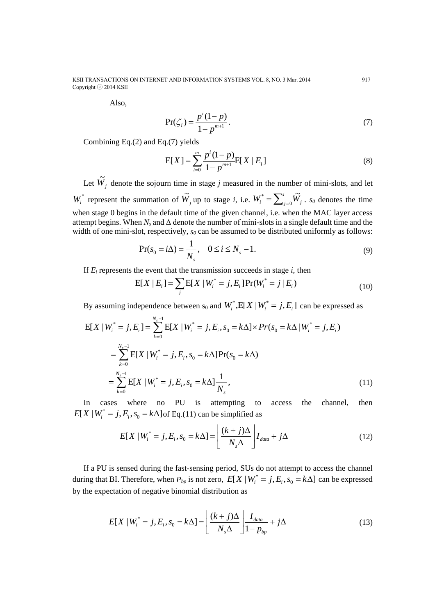Also,

$$
Pr(\zeta_i) = \frac{p^i (1-p)}{1-p^{m+1}}.
$$
\n(7)

Combining Eq.(2) and Eq.(7) yields

$$
E[X] = \sum_{i=0}^{m} \frac{p^{i} (1-p)}{1-p^{m+1}} E[X | E_i]
$$
 (8)

Let  $\widetilde{W}_j$  denote the sojourn time in stage *j* measured in the number of mini-slots, and let  $W_i^*$  represent the summation of  $\widetilde{W}_j$  up to stage *i*, i.e.  $W_i^* = \sum_{j=1}^i w_j$  $W_i^* = \sum_{j=0}^i \widetilde{W}_j$ . *so* denotes the time when stage 0 begins in the default time of the given channel, i.e. when the MAC layer access attempt begins. When  $N_s$  and  $\Delta$  denote the number of mini-slots in a single default time and the width of one mini-slot, respectively,  $s_0$  can be assumed to be distributed uniformly as follows:

$$
\Pr(s_0 = i\Delta) = \frac{1}{N_s}, \quad 0 \le i \le N_s - 1.
$$
 (9)

If 
$$
E_i
$$
 represents the event that the transmission succeeds in stage *i*, then  
\n
$$
E[X | E_i] = \sum_j E[X | W_i^* = j, E_i] Pr(W_i^* = j | E_i)
$$
\n(10)

By assuming independence between 
$$
s_0
$$
 and  $W_i^*$ ,  $E[X | W_i^* = j, E_i]$  can be expressed as  
\n
$$
E[X | W_i^* = j, E_i] = \sum_{k=0}^{N_s - 1} E[X | W_i^* = j, E_i, s_0 = k\Delta] \times Pr(s_0 = k\Delta | W_i^* = j, E_i)
$$
\n
$$
= \sum_{k=0}^{N_s - 1} E[X | W_i^* = j, E_i, s_0 = k\Delta] Pr(s_0 = k\Delta)
$$
\n
$$
= \sum_{k=0}^{N_s - 1} E[X | W_i^* = j, E_i, s_0 = k\Delta] \frac{1}{N_s},
$$
\n(11)

In cases where no PU is attempting to access the channel, then \*

$$
E[X \mid W_i^* = j, E_i, s_0 = k\Delta] \text{ of Eq. (11) can be simplified as}
$$
  

$$
E[X \mid W_i^* = j, E_i, s_0 = k\Delta] = \left[ \frac{(k+j)\Delta}{N_s\Delta} \right] I_{data} + j\Delta
$$
 (12)

If a PU is sensed during the fast-sensing period, SUs do not attempt to access the channel during that BI. Therefore, when  $P_{bp}$  is not zero,  $E[X | W_i^*]$  $E[X | W_i^* = j, E_i, s_0 = k\Delta]$  can be expressed by the expectation of negative binomial distribution as

$$
E[X \mid W_i^* = j, E_i, s_0 = k\Delta] = \left[ \frac{(k+j)\Delta}{N_s \Delta} \right] \frac{I_{data}}{1 - p_{bp}} + j\Delta
$$
 (13)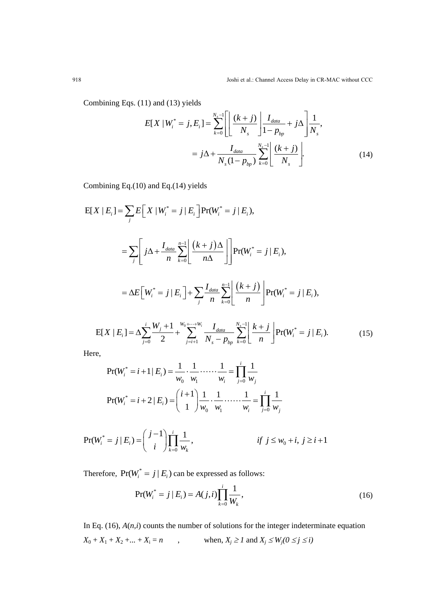Combining Eqs. (11) and (13) yields

1) and (13) yields  
\n
$$
E[X \mid W_i^* = j, E_i] = \sum_{k=0}^{N_s-1} \left[ \frac{(k+j)}{N_s} \right] \frac{I_{data}}{1 - p_{bp}} + j\Delta \frac{1}{N_s},
$$
\n
$$
= j\Delta + \frac{I_{data}}{N_s(1 - p_{bp})} \sum_{k=0}^{N_s-1} \left[ \frac{(k+j)}{N_s} \right].
$$
\n(14)

Combining Eq.(10) and Eq.(14) yields

$$
E[X | E_i] = \sum_{j} E[X | W_i^* = j | E_i] Pr(W_i^* = j | E_i),
$$
  
\n
$$
= \sum_{j} \left[ j\Delta + \frac{I_{data}}{n} \sum_{k=0}^{n-1} \left[ \frac{(k+j)\Delta}{n\Delta} \right] Pr(W_i^* = j | E_i),
$$
  
\n
$$
= \Delta E[W_i^* = j | E_i] + \sum_{j} \frac{I_{data}}{n} \sum_{k=0}^{n-1} \left[ \frac{(k+j)}{n} \right] Pr(W_i^* = j | E_i),
$$
  
\n
$$
E[X | E_i] = \Delta \sum_{j=0}^{i} \frac{W_j + 1}{2} + \sum_{j=i+1}^{W_0 + \dots + W_i} \frac{I_{data}}{N_s - p_{bp}} \sum_{k=0}^{N_s - 1} \left[ \frac{k+j}{n} \right] Pr(W_i^* = j | E_i).
$$
 (15)

$$
E[X \mid E_i] = \Delta \sum_{j=0}^{i} \frac{W_j + 1}{2} + \sum_{j=i+1}^{W_0 + \dots + W_i} \frac{I_{data}}{N_s - p_{bp}} \sum_{k=0}^{N_s - 1} \left[ \frac{k + j}{n} \right] Pr(W_i^* = j \mid E_i).
$$
 (15)

Here,

$$
\Pr(W_i^* = i + 1 | E_i) = \frac{1}{w_0} \cdot \frac{1}{w_1} \cdot \dots \cdot \frac{1}{w_i} = \prod_{j=0}^i \frac{1}{w_j}
$$

$$
\Pr(W_i^* = i + 2 | E_i) = \binom{i+1}{1} \frac{1}{w_0} \cdot \frac{1}{w_1} \cdot \dots \cdot \frac{1}{w_i} = \prod_{j=0}^i \frac{1}{w_j}
$$

$$
\Pr(W_i^* = j | E_i) = \binom{j-1}{i} \prod_{k=0}^i \frac{1}{w_k}, \qquad \text{if } j \le w_0 + i, j \ge i+1
$$

Therefore,  $Pr(W_i^* = j | E_i)$  can be expressed as follows:

$$
Pr(W_i^* = j | E_i) = A(j, i) \prod_{k=0}^{i} \frac{1}{W_k},
$$
\n(16)

In Eq. (16), *A*(*n,i*) counts the number of solutions for the integer indeterminate equation  $X_0 + X_1 + X_2 + ... + X_i = n$ , when,  $X_j \ge 1$  and  $X_j \le W_j(0 \le j \le i)$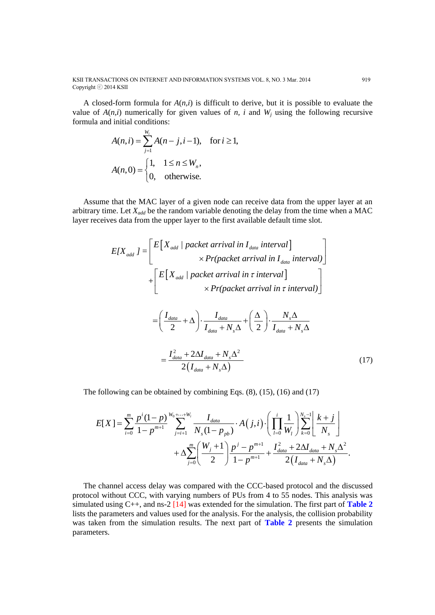KSII TRANSACTIONS ON INTERNET AND INFORMATION SYSTEMS VOL. 8, NO. 3 Mar. 2014 919 Copyright ⓒ 2014 KSII

A closed-form formula for *A*(*n,i*) is difficult to derive, but it is possible to evaluate the value of  $A(n,i)$  numerically for given values of *n, i* and  $W_i$  using the following recursive formula and initial conditions:

$$
A(n, i) = \sum_{j=1}^{W_i} A(n - j, i - 1), \text{ for } i \ge 1,
$$
  

$$
A(n, 0) = \begin{cases} 1, & 1 \le n \le W_n, \\ 0, & \text{otherwise.} \end{cases}
$$

Assume that the MAC layer of a given node can receive data from the upper layer at an arbitrary time. Let *Xadd* be the random variable denoting the delay from the time when a MAC

layer receives data from the upper layer to the first available default time slot.  
\n
$$
E[X_{add}] = \left[ E[X_{add} | packet arrival in I_{data interval}] \times Pr(packet arrival in I_{data interval}) \right] + \left[ E[X_{add} | packet arrival in \tau interval] \times Pr(packet arrival in \tau interval)] \right]
$$
\n
$$
= \left( \frac{I_{data}}{2} + \Delta \right) \cdot \frac{I_{data}}{I_{data} + N_s \Delta} + \left( \frac{\Delta}{2} \right) \cdot \frac{N_s \Delta}{I_{data} + N_s \Delta}
$$
\n
$$
= \frac{I_{data}^2 + 2\Delta I_{data} + N_s \Delta^2}{2(I_{data} + N_s \Delta)}
$$
\n(17)

The following can be obtained by combining Eqs. (8), (15), (16) and (17)  
\n
$$
E[X] = \sum_{i=0}^{m} \frac{p^{i} (1-p)}{1-p^{m+1}} \sum_{j=i+1}^{W_0+\cdots+W_i} \frac{I_{data}}{N_s (1-p_{pb})} \cdot A(j,i) \cdot \left( \prod_{l=0}^{i} \frac{1}{W_l} \right) \sum_{k=0}^{N_s-1} \left[ \frac{k+j}{N_s} \right] + \Delta \sum_{j=0}^{m} \left( \frac{W_j+1}{2} \right) \frac{p^{j} - p^{m+1}}{1-p^{m+1}} + \frac{I_{data}^{2} + 2\Delta I_{data} + N_s \Delta^{2}}{2(I_{data} + N_s \Delta)}.
$$

The channel access delay was compared with the CCC-based protocol and the discussed protocol without CCC, with varying numbers of PUs from 4 to 55 nodes. This analysis was simulated using C++, and ns-2 [14] was extended for the simulation. The first part of **Table 2** lists the parameters and values used for the analysis. For the analysis, the collision probability was taken from the simulation results. The next part of **Table 2** presents the simulation parameters.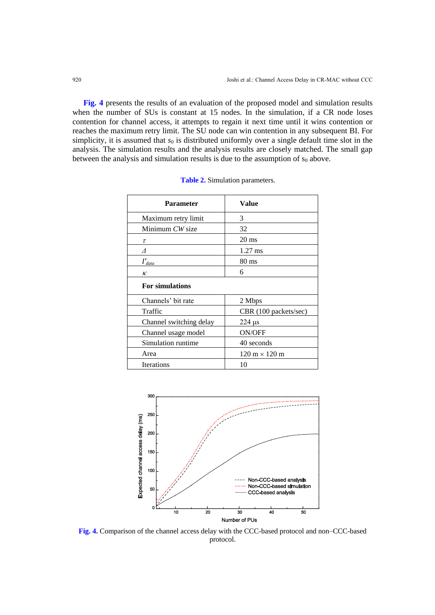**Fig. 4** presents the results of an evaluation of the proposed model and simulation results when the number of SUs is constant at 15 nodes. In the simulation, if a CR node loses contention for channel access, it attempts to regain it next time until it wins contention or reaches the maximum retry limit. The SU node can win contention in any subsequent BI. For simplicity, it is assumed that  $s_0$  is distributed uniformly over a single default time slot in the analysis. The simulation results and the analysis results are closely matched. The small gap between the analysis and simulation results is due to the assumption of  $s_0$  above.

| <b>Parameter</b>           | Value                                |
|----------------------------|--------------------------------------|
| Maximum retry limit        | 3                                    |
| Minimum CW size            | 32                                   |
| τ                          | $20 \text{ ms}$                      |
| Λ                          | $1.27$ ms                            |
| $I^\prime_{\textit{data}}$ | 80 ms                                |
| ĸ                          | 6                                    |
| <b>For simulations</b>     |                                      |
| Channels' bit rate         | 2 Mbps                               |
| Traffic                    | CBR (100 packets/sec)                |
| Channel switching delay    | $224 \mu s$                          |
| Channel usage model        | <b>ON/OFF</b>                        |
| Simulation runtime         | 40 seconds                           |
| Area                       | $120 \text{ m} \times 120 \text{ m}$ |
| <b>Iterations</b>          | 10                                   |

|  | Table 2. Simulation parameters. |  |
|--|---------------------------------|--|
|--|---------------------------------|--|



**Fig. 4.** Comparison of the channel access delay with the CCC-based protocol and non–CCC-based protocol.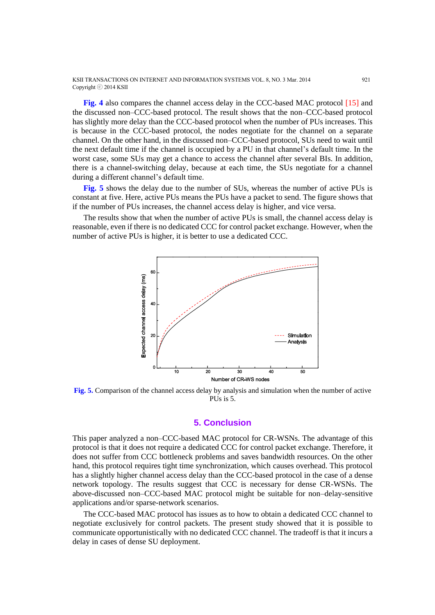KSII TRANSACTIONS ON INTERNET AND INFORMATION SYSTEMS VOL. 8, NO. 3 Mar. 2014 921 Copyright ⓒ 2014 KSII

**Fig. 4** also compares the channel access delay in the CCC-based MAC protocol [15] and the discussed non–CCC-based protocol. The result shows that the non–CCC-based protocol has slightly more delay than the CCC-based protocol when the number of PUs increases. This is because in the CCC-based protocol, the nodes negotiate for the channel on a separate channel. On the other hand, in the discussed non–CCC-based protocol, SUs need to wait until the next default time if the channel is occupied by a PU in that channel's default time. In the worst case, some SUs may get a chance to access the channel after several BIs. In addition, there is a channel-switching delay, because at each time, the SUs negotiate for a channel during a different channel's default time.

**Fig. 5** shows the delay due to the number of SUs, whereas the number of active PUs is constant at five. Here, active PUs means the PUs have a packet to send. The figure shows that if the number of PUs increases, the channel access delay is higher, and vice versa.

The results show that when the number of active PUs is small, the channel access delay is reasonable, even if there is no dedicated CCC for control packet exchange. However, when the number of active PUs is higher, it is better to use a dedicated CCC.



**Fig. 5.** Comparison of the channel access delay by analysis and simulation when the number of active PUs is 5.

## **5. Conclusion**

This paper analyzed a non–CCC-based MAC protocol for CR-WSNs. The advantage of this protocol is that it does not require a dedicated CCC for control packet exchange. Therefore, it does not suffer from CCC bottleneck problems and saves bandwidth resources. On the other hand, this protocol requires tight time synchronization, which causes overhead. This protocol has a slightly higher channel access delay than the CCC-based protocol in the case of a dense network topology. The results suggest that CCC is necessary for dense CR-WSNs. The above-discussed non–CCC-based MAC protocol might be suitable for non–delay-sensitive applications and/or sparse-network scenarios.

The CCC-based MAC protocol has issues as to how to obtain a dedicated CCC channel to negotiate exclusively for control packets. The present study showed that it is possible to communicate opportunistically with no dedicated CCC channel. The tradeoff is that it incurs a delay in cases of dense SU deployment.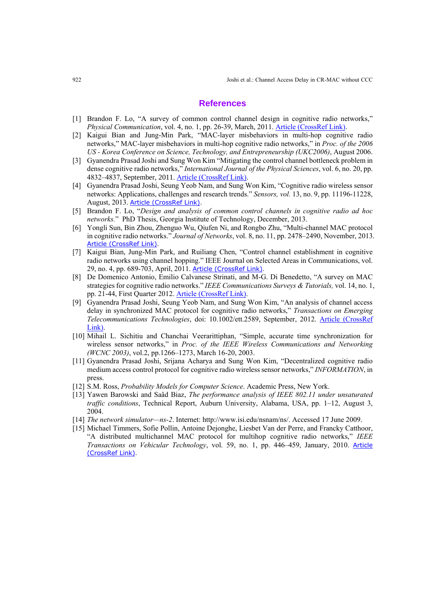#### **References**

- [1] Brandon F. Lo, "A survey of common control channel design in cognitive radio networks," *Physical Communication*, vol. 4, no. 1, pp. 26-39, March, 2011. [Article \(CrossRef Link\).](http://dx.doi.org/10.1016/j.phycom.2010.12.004)
- [2] Kaigui Bian and Jung-Min Park, "MAC-layer misbehaviors in multi-hop cognitive radio networks," MAC-layer misbehaviors in multi-hop cognitive radio networks," in *Proc. of the 2006 US - Korea Conference on Science, Technology, and Entrepreneurship (UKC2006)*, August 2006.
- [3] Gyanendra Prasad Joshi and Sung Won Kim "Mitigating the control channel bottleneck problem in dense cognitive radio networks," *International Journal of the Physical Sciences*, vol. 6, no. 20, pp. 4832–4837, September, 2011. [Article \(CrossRef Link\).](http://dx.doi.org/10.5897/IJPS11.560)
- [4] Gyanendra Prasad Joshi, Seung Yeob Nam, and Sung Won Kim, "Cognitive radio wireless sensor networks: Applications, challenges and research trends." *Sensors, vol.* 13, no. 9, pp. 11196-11228, August, 2013. [Article \(CrossRef Link\).](http://dx.doi.org/10.3390/s130911196)
- [5] Brandon F. Lo, "*Design and analysis of common control channels in cognitive radio ad hoc networks.*" PhD Thesis, Georgia Institute of Technology, December, 2013.
- [6] Yongli Sun, Bin Zhou, Zhenguo Wu, Qiufen Ni, and Rongbo Zhu, "Multi-channel MAC protocol in cognitive radio networks." *Journal of Networks*, vol. 8, no. 11, pp. 2478–2490, November, 2013. [Article \(CrossRef Link\).](http://dx.doi.org/10.4304/jnw.8.11.2478-2490)
- [7] Kaigui Bian, Jung-Min Park, and Ruiliang Chen, "Control channel establishment in cognitive radio networks using channel hopping." IEEE Journal on Selected Areas in Communications, vol. 29, no. 4, pp. 689-703, April, 2011. [Article \(CrossRef Link\).](http://dx.doi.org/10.1109/JSAC.2011.110403)
- [8] De Domenico Antonio, Emilio Calvanese Strinati, and M-G. Di Benedetto, "A survey on MAC strategies for cognitive radio networks." *IEEE Communications Surveys & Tutorials,* vol. 14, no. 1, pp. 21-44, First Quarter 2012. [Article \(CrossRef Link\).](http://dx.doi.org/10.1109/SURV.2011.111510.00108)
- [9] Gyanendra Prasad Joshi, Seung Yeob Nam, and Sung Won Kim, "An analysis of channel access delay in synchronized MAC protocol for cognitive radio networks," *Transactions on Emerging Telecommunications Technologies*, doi: 10.1002/ett.2589, September, 2012. [Article \(CrossRef](http://dx.doi.org/10.1002/ett.2589)  [Link\).](http://dx.doi.org/10.1002/ett.2589)
- [10] Mihail L. Sichitiu and Chanchai Veerarittiphan, "Simple, accurate time synchronization for wireless sensor networks," in *Proc. of the IEEE Wireless Communications and Networking (WCNC 2003)*, vol.2, pp.1266–1273, March 16-20, 2003.
- [11] Gyanendra Prasad Joshi, Srijana Acharya and Sung Won Kim, "Decentralized cognitive radio medium access control protocol for cognitive radio wireless sensor networks," *INFORMATION*, in press.
- [12] S.M. Ross, *Probability Models for Computer Science*. Academic Press, New York.
- [13] Yawen Barowski and Saâd Biaz, *The performance analysis of IEEE 802.11 under unsaturated traffic conditions*, Technical Report, Auburn University, Alabama, USA, pp. 1–12, August 3, 2004.
- [14] *The network simulator—ns-2*. Internet: http://www.isi.edu/nsnam/ns/. Accessed 17 June 2009.
- [15] Michael Timmers, Sofie Pollin, Antoine Dejonghe, Liesbet Van der Perre, and Francky Catthoor, "A distributed multichannel MAC protocol for multihop cognitive radio networks," *IEEE Transactions on Vehicular Technology*, vol. 59, no. 1, pp. 446–459, January, 2010. [Article](http://dx.doi.org/10.1109/TVT.2009.2029552)  [\(CrossRef Link\).](http://dx.doi.org/10.1109/TVT.2009.2029552)